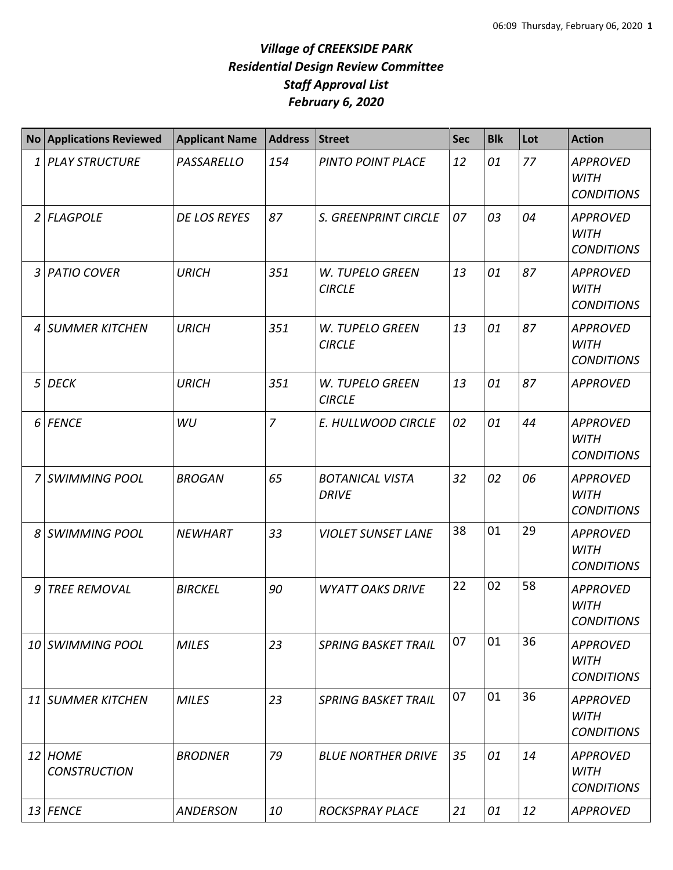|   | <b>No Applications Reviewed</b> | <b>Applicant Name</b> | <b>Address</b> | <b>Street</b>                           | <b>Sec</b> | <b>Blk</b> | Lot | <b>Action</b>                                       |
|---|---------------------------------|-----------------------|----------------|-----------------------------------------|------------|------------|-----|-----------------------------------------------------|
| 1 | <b>PLAY STRUCTURE</b>           | PASSARELLO            | 154            | PINTO POINT PLACE                       | 12         | 01         | 77  | <b>APPROVED</b><br><b>WITH</b><br><b>CONDITIONS</b> |
|   | 2 FLAGPOLE                      | <b>DE LOS REYES</b>   | 87             | S. GREENPRINT CIRCLE                    | 07         | 03         | 04  | <b>APPROVED</b><br><b>WITH</b><br><b>CONDITIONS</b> |
| 3 | <b>PATIO COVER</b>              | <b>URICH</b>          | 351            | W. TUPELO GREEN<br><b>CIRCLE</b>        | 13         | 01         | 87  | <b>APPROVED</b><br><b>WITH</b><br><b>CONDITIONS</b> |
| 4 | <b>SUMMER KITCHEN</b>           | <b>URICH</b>          | 351            | <b>W. TUPELO GREEN</b><br><b>CIRCLE</b> | 13         | 01         | 87  | <b>APPROVED</b><br><b>WITH</b><br><b>CONDITIONS</b> |
| 5 | <b>DECK</b>                     | <b>URICH</b>          | 351            | W. TUPELO GREEN<br><b>CIRCLE</b>        | 13         | 01         | 87  | <b>APPROVED</b>                                     |
| 6 | <b>FENCE</b>                    | WU                    | $\overline{7}$ | E. HULLWOOD CIRCLE                      | 02         | 01         | 44  | <b>APPROVED</b><br><b>WITH</b><br><b>CONDITIONS</b> |
|   | <b>SWIMMING POOL</b>            | <b>BROGAN</b>         | 65             | <b>BOTANICAL VISTA</b><br><b>DRIVE</b>  | 32         | 02         | 06  | <b>APPROVED</b><br><b>WITH</b><br><b>CONDITIONS</b> |
| 8 | <b>SWIMMING POOL</b>            | <b>NEWHART</b>        | 33             | <b>VIOLET SUNSET LANE</b>               | 38         | 01         | 29  | <b>APPROVED</b><br><b>WITH</b><br><b>CONDITIONS</b> |
| 9 | <b>TREE REMOVAL</b>             | <b>BIRCKEL</b>        | 90             | <b>WYATT OAKS DRIVE</b>                 | 22         | 02         | 58  | <b>APPROVED</b><br><b>WITH</b><br><b>CONDITIONS</b> |
|   | 10 SWIMMING POOL                | <b>MILES</b>          | 23             | <b>SPRING BASKET TRAIL</b>              | 07         | 01         | 36  | <b>APPROVED</b><br>WITH<br><b>CONDITIONS</b>        |
|   | 11 SUMMER KITCHEN               | <b>MILES</b>          | 23             | <b>SPRING BASKET TRAIL</b>              | 07         | 01         | 36  | <b>APPROVED</b><br><b>WITH</b><br><b>CONDITIONS</b> |
|   | 12 HOME<br><b>CONSTRUCTION</b>  | <b>BRODNER</b>        | 79             | <b>BLUE NORTHER DRIVE</b>               | 35         | 01         | 14  | <b>APPROVED</b><br><b>WITH</b><br><b>CONDITIONS</b> |
|   | 13 FENCE                        | <b>ANDERSON</b>       | 10             | <b>ROCKSPRAY PLACE</b>                  | 21         | 01         | 12  | <b>APPROVED</b>                                     |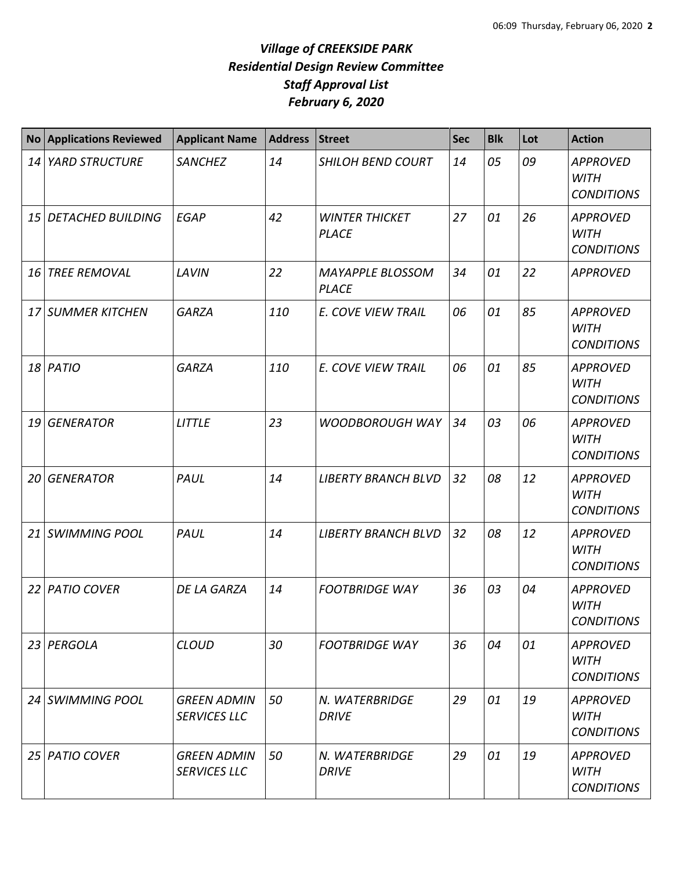| No <sub>1</sub> | <b>Applications Reviewed</b> | <b>Applicant Name</b>                     | <b>Address</b> | <b>Street</b>                           | <b>Sec</b> | <b>Blk</b> | Lot | <b>Action</b>                                       |
|-----------------|------------------------------|-------------------------------------------|----------------|-----------------------------------------|------------|------------|-----|-----------------------------------------------------|
| 14              | <b>YARD STRUCTURE</b>        | <b>SANCHEZ</b>                            | 14             | <b>SHILOH BEND COURT</b>                | 14         | 05         | 09  | <b>APPROVED</b><br><b>WITH</b><br><b>CONDITIONS</b> |
|                 | 15 DETACHED BUILDING         | <b>EGAP</b>                               | 42             | <b>WINTER THICKET</b><br><b>PLACE</b>   | 27         | 01         | 26  | <b>APPROVED</b><br><b>WITH</b><br><b>CONDITIONS</b> |
| 16              | <b>TREE REMOVAL</b>          | LAVIN                                     | 22             | <b>MAYAPPLE BLOSSOM</b><br><b>PLACE</b> | 34         | 01         | 22  | <b>APPROVED</b>                                     |
|                 | 17 SUMMER KITCHEN            | <b>GARZA</b>                              | 110            | E. COVE VIEW TRAIL                      | 06         | 01         | 85  | <b>APPROVED</b><br><b>WITH</b><br><b>CONDITIONS</b> |
|                 | 18 PATIO                     | <b>GARZA</b>                              | 110            | E. COVE VIEW TRAIL                      | 06         | 01         | 85  | <b>APPROVED</b><br><b>WITH</b><br><b>CONDITIONS</b> |
| 19              | <b>GENERATOR</b>             | <b>LITTLE</b>                             | 23             | <b>WOODBOROUGH WAY</b>                  | 34         | 03         | 06  | <b>APPROVED</b><br><b>WITH</b><br><b>CONDITIONS</b> |
|                 | 20 GENERATOR                 | PAUL                                      | 14             | <b>LIBERTY BRANCH BLVD</b>              | 32         | 08         | 12  | <b>APPROVED</b><br><b>WITH</b><br><b>CONDITIONS</b> |
|                 | 21 SWIMMING POOL             | PAUL                                      | 14             | <b>LIBERTY BRANCH BLVD</b>              | 32         | 08         | 12  | <b>APPROVED</b><br><b>WITH</b><br><b>CONDITIONS</b> |
|                 | 22 PATIO COVER               | DE LA GARZA                               | 14             | <b>FOOTBRIDGE WAY</b>                   | 36         | 03         | 04  | <b>APPROVED</b><br><b>WITH</b><br><b>CONDITIONS</b> |
|                 | 23 PERGOLA                   | <b>CLOUD</b>                              | 30             | <b>FOOTBRIDGE WAY</b>                   | 36         | 04         | 01  | <b>APPROVED</b><br>WITH<br><b>CONDITIONS</b>        |
|                 | 24 SWIMMING POOL             | <b>GREEN ADMIN</b><br><b>SERVICES LLC</b> | 50             | N. WATERBRIDGE<br>DRIVE                 | 29         | 01         | 19  | <b>APPROVED</b><br><b>WITH</b><br><b>CONDITIONS</b> |
|                 | 25 PATIO COVER               | <b>GREEN ADMIN</b><br>SERVICES LLC        | 50             | N. WATERBRIDGE<br><b>DRIVE</b>          | 29         | 01         | 19  | <b>APPROVED</b><br><b>WITH</b><br><b>CONDITIONS</b> |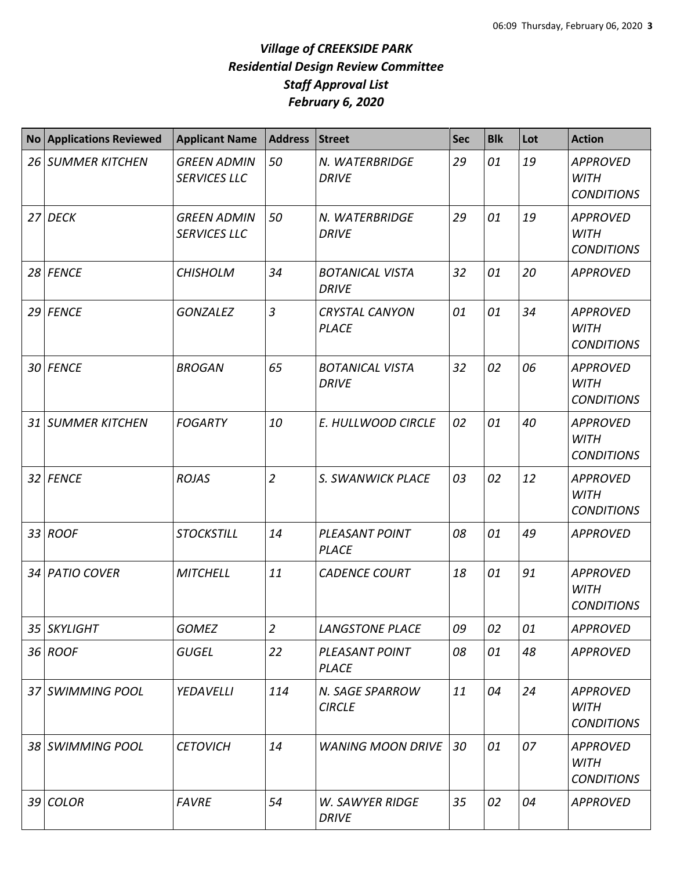| No Applications Reviewed | <b>Applicant Name</b>                     | <b>Address</b> | <b>Street</b>                          | <b>Sec</b> | <b>Blk</b> | Lot | <b>Action</b>                                       |
|--------------------------|-------------------------------------------|----------------|----------------------------------------|------------|------------|-----|-----------------------------------------------------|
| <b>26 SUMMER KITCHEN</b> | <b>GREEN ADMIN</b><br><b>SERVICES LLC</b> | 50             | N. WATERBRIDGE<br><b>DRIVE</b>         | 29         | 01         | 19  | <b>APPROVED</b><br><b>WITH</b><br><b>CONDITIONS</b> |
| 27 DECK                  | <b>GREEN ADMIN</b><br><b>SERVICES LLC</b> | 50             | N. WATERBRIDGE<br><b>DRIVE</b>         | 29         | 01         | 19  | <b>APPROVED</b><br><b>WITH</b><br><b>CONDITIONS</b> |
| 28 FENCE                 | <b>CHISHOLM</b>                           | 34             | <b>BOTANICAL VISTA</b><br><b>DRIVE</b> | 32         | 01         | 20  | APPROVED                                            |
| 29 FENCE                 | <b>GONZALEZ</b>                           | $\overline{3}$ | <b>CRYSTAL CANYON</b><br><b>PLACE</b>  | 01         | 01         | 34  | <b>APPROVED</b><br><b>WITH</b><br><b>CONDITIONS</b> |
| 30 FENCE                 | <b>BROGAN</b>                             | 65             | <b>BOTANICAL VISTA</b><br><b>DRIVE</b> | 32         | 02         | 06  | <b>APPROVED</b><br><b>WITH</b><br><b>CONDITIONS</b> |
| 31 SUMMER KITCHEN        | <b>FOGARTY</b>                            | 10             | E. HULLWOOD CIRCLE                     | 02         | 01         | 40  | <b>APPROVED</b><br><b>WITH</b><br><b>CONDITIONS</b> |
| 32 FENCE                 | <b>ROJAS</b>                              | $\overline{2}$ | S. SWANWICK PLACE                      | 03         | 02         | 12  | <b>APPROVED</b><br><b>WITH</b><br><b>CONDITIONS</b> |
| 33 ROOF                  | <b>STOCKSTILL</b>                         | 14             | PLEASANT POINT<br><b>PLACE</b>         | 08         | 01         | 49  | <b>APPROVED</b>                                     |
| 34 PATIO COVER           | <b>MITCHELL</b>                           | 11             | <b>CADENCE COURT</b>                   | 18         | 01         | 91  | <b>APPROVED</b><br><b>WITH</b><br><b>CONDITIONS</b> |
| 35 SKYLIGHT              | <b>GOMEZ</b>                              | $\overline{2}$ | <b>LANGSTONE PLACE</b>                 | 09         | 02         | 01  | <b>APPROVED</b>                                     |
| 36 ROOF                  | <b>GUGEL</b>                              | 22             | PLEASANT POINT<br><b>PLACE</b>         | 08         | 01         | 48  | <b>APPROVED</b>                                     |
| 37 SWIMMING POOL         | YEDAVELLI                                 | 114            | N. SAGE SPARROW<br><b>CIRCLE</b>       | 11         | 04         | 24  | <b>APPROVED</b><br><b>WITH</b><br><b>CONDITIONS</b> |
| 38 SWIMMING POOL         | <b>CETOVICH</b>                           | 14             | <b>WANING MOON DRIVE</b>               | 30         | 01         | 07  | <b>APPROVED</b><br><b>WITH</b><br><b>CONDITIONS</b> |
| $39$ COLOR               | <b>FAVRE</b>                              | 54             | W. SAWYER RIDGE<br><b>DRIVE</b>        | 35         | 02         | 04  | <b>APPROVED</b>                                     |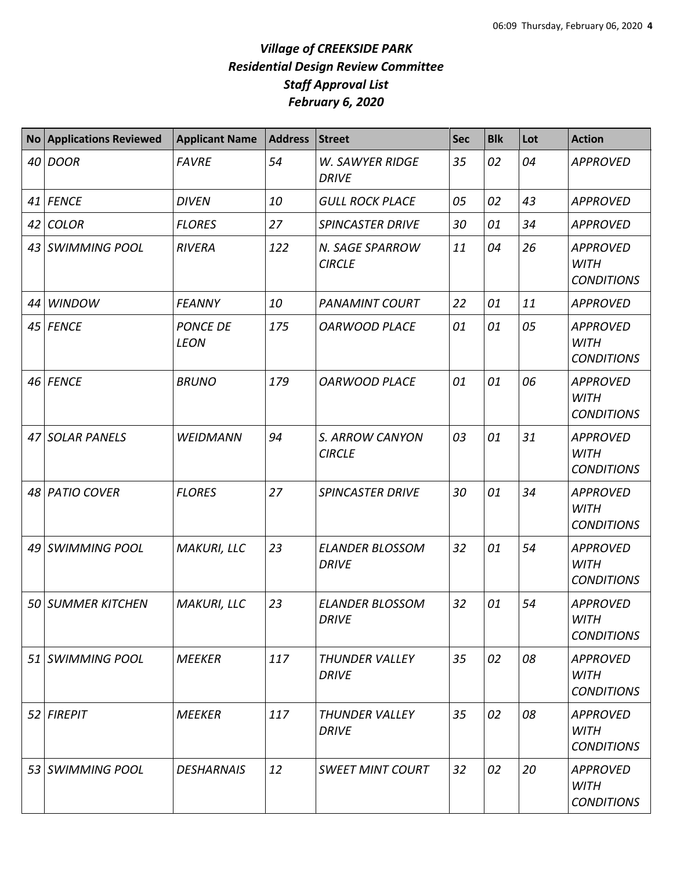| <b>No</b> | <b>Applications Reviewed</b> | <b>Applicant Name</b>          | <b>Address</b> | <b>Street</b>                          | <b>Sec</b> | <b>Blk</b> | Lot | <b>Action</b>                                       |
|-----------|------------------------------|--------------------------------|----------------|----------------------------------------|------------|------------|-----|-----------------------------------------------------|
| 40        | <b>DOOR</b>                  | <b>FAVRE</b>                   | 54             | W. SAWYER RIDGE<br><b>DRIVE</b>        | 35         | 02         | 04  | <b>APPROVED</b>                                     |
|           | 41 FENCE                     | <b>DIVEN</b>                   | 10             | <b>GULL ROCK PLACE</b>                 | 05         | 02         | 43  | <b>APPROVED</b>                                     |
| 42        | <b>COLOR</b>                 | <b>FLORES</b>                  | 27             | <b>SPINCASTER DRIVE</b>                | 30         | 01         | 34  | <b>APPROVED</b>                                     |
| 43        | <b>SWIMMING POOL</b>         | <b>RIVERA</b>                  | 122            | N. SAGE SPARROW<br><b>CIRCLE</b>       | 11         | 04         | 26  | <b>APPROVED</b><br><b>WITH</b><br><b>CONDITIONS</b> |
| 44        | <b>WINDOW</b>                | <b>FEANNY</b>                  | 10             | <b>PANAMINT COURT</b>                  | 22         | 01         | 11  | <b>APPROVED</b>                                     |
| 45        | <b>FENCE</b>                 | <b>PONCE DE</b><br><b>LEON</b> | 175            | <b>OARWOOD PLACE</b>                   | 01         | 01         | 05  | <b>APPROVED</b><br><b>WITH</b><br><b>CONDITIONS</b> |
| 46        | <b>FENCE</b>                 | <b>BRUNO</b>                   | 179            | <b>OARWOOD PLACE</b>                   | 01         | 01         | 06  | <b>APPROVED</b><br><b>WITH</b><br><b>CONDITIONS</b> |
| 47        | <b>SOLAR PANELS</b>          | <b>WEIDMANN</b>                | 94             | S. ARROW CANYON<br><b>CIRCLE</b>       | 03         | 01         | 31  | <b>APPROVED</b><br><b>WITH</b><br><b>CONDITIONS</b> |
|           | 48 PATIO COVER               | <b>FLORES</b>                  | 27             | <b>SPINCASTER DRIVE</b>                | 30         | 01         | 34  | <b>APPROVED</b><br><b>WITH</b><br><b>CONDITIONS</b> |
| 49        | <b>SWIMMING POOL</b>         | <b>MAKURI, LLC</b>             | 23             | <b>ELANDER BLOSSOM</b><br><b>DRIVE</b> | 32         | 01         | 54  | <b>APPROVED</b><br><b>WITH</b><br><b>CONDITIONS</b> |
| 50        | <b>SUMMER KITCHEN</b>        | <b>MAKURI, LLC</b>             | 23             | <b>ELANDER BLOSSOM</b><br><b>DRIVE</b> | 32         | 01         | 54  | <b>APPROVED</b><br><b>WITH</b><br><b>CONDITIONS</b> |
|           | 51 SWIMMING POOL             | <b>MEEKER</b>                  | 117            | THUNDER VALLEY<br><b>DRIVE</b>         | 35         | 02         | 08  | <b>APPROVED</b><br><b>WITH</b><br><b>CONDITIONS</b> |
|           | $52$ FIREPIT                 | <b>MEEKER</b>                  | 117            | <b>THUNDER VALLEY</b><br><b>DRIVE</b>  | 35         | 02         | 08  | <b>APPROVED</b><br><b>WITH</b><br><b>CONDITIONS</b> |
|           | 53 SWIMMING POOL             | <b>DESHARNAIS</b>              | 12             | <b>SWEET MINT COURT</b>                | 32         | 02         | 20  | <b>APPROVED</b><br><b>WITH</b><br><b>CONDITIONS</b> |